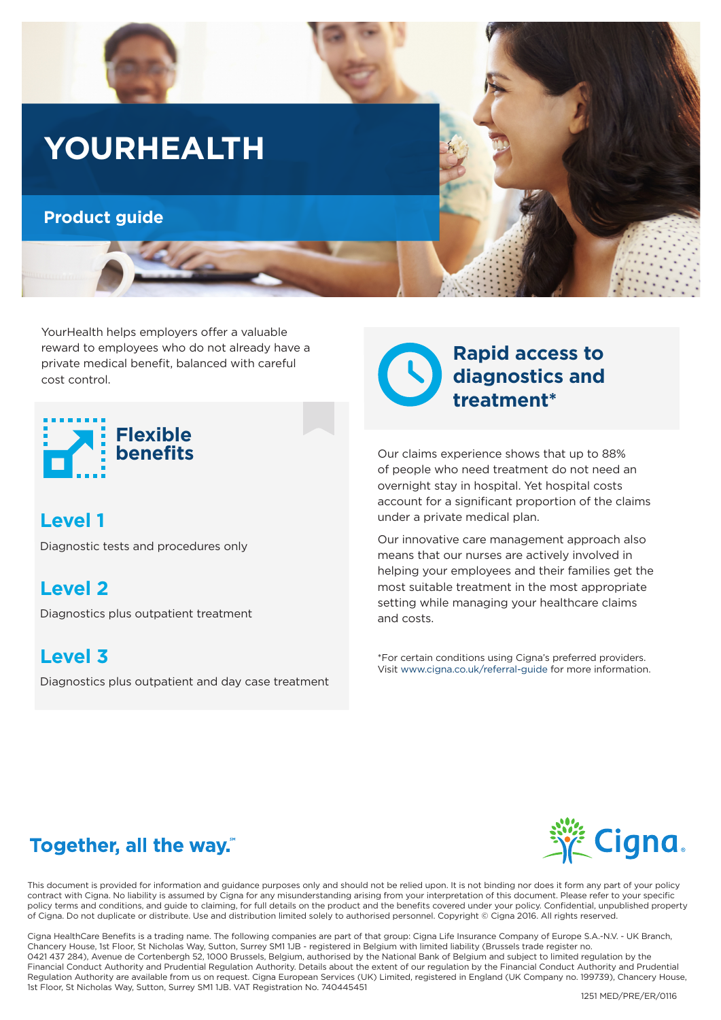

YourHealth helps employers offer a valuable reward to employees who do not already have a private medical benefit, balanced with careful cost control.



# **Level 1**

Diagnostic tests and procedures only

**Level 2**

Diagnostics plus outpatient treatment

## **Level 3**

Diagnostics plus outpatient and day case treatment



Our claims experience shows that up to 88% of people who need treatment do not need an overnight stay in hospital. Yet hospital costs account for a significant proportion of the claims under a private medical plan.

Our innovative care management approach also means that our nurses are actively involved in helping your employees and their families get the most suitable treatment in the most appropriate setting while managing your healthcare claims and costs.

\*For certain conditions using Cigna's preferred providers. Visit www.cigna.co.uk/referral-guide for more information.

# Together, all the way."

This document is provided for information and guidance purposes only and should not be relied upon. It is not binding nor does it form any part of your policy contract with Cigna. No liability is assumed by Cigna for any misunderstanding arising from your interpretation of this document. Please refer to your specific policy terms and conditions, and guide to claiming, for full details on the product and the benefits covered under your policy. Confidential, unpublished property of Cigna. Do not duplicate or distribute. Use and distribution limited solely to authorised personnel. Copyright © Cigna 2016. All rights reserved.

Cigna HealthCare Benefits is a trading name. The following companies are part of that group: Cigna Life Insurance Company of Europe S.A.-N.V. - UK Branch, Chancery House, 1st Floor, St Nicholas Way, Sutton, Surrey SM1 1JB - registered in Belgium with limited liability (Brussels trade register no. 0421 437 284), Avenue de Cortenbergh 52, 1000 Brussels, Belgium, authorised by the National Bank of Belgium and subject to limited regulation by the Financial Conduct Authority and Prudential Regulation Authority. Details about the extent of our regulation by the Financial Conduct Authority and Prudential Regulation Authority are available from us on request. Cigna European Services (UK) Limited, registered in England (UK Company no. 199739), Chancery House, 1st Floor, St Nicholas Way, Sutton, Surrey SM1 1JB. VAT Registration No. 740445451

**Cigna.**